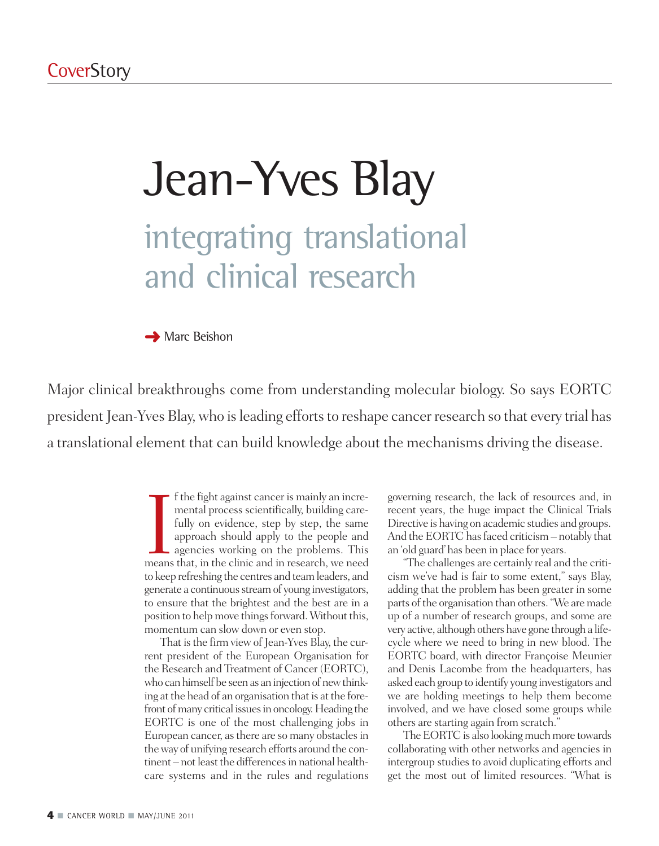# Jean-Yves Blay integrating translational and clinical research

**→** Marc Beishon

Major clinical breakthroughs come from understanding molecular biology. So says EORTC president Jean-Yves Blay, who is leading efforts to reshape cancer research so that every trial has a translational element that can build knowledge about the mechanisms driving the disease.

> If the fight against cancer is mainly an incremental process scientifically, building care-<br>fully on evidence, step by step, the same approach should apply to the people and<br>agencies working on the problems. This<br>means tha f the fight against cancer is mainly an incremental process scientifically, building carefully on evidence, step by step, the same approach should apply to the people and agencies working on the problems. This to keep refreshing the centres and teamleaders, and generate a continuous stream of young investigators, to ensure that the brightest and the best are in a position to help move things forward. Without this, momentum can slow down or even stop.

> That is the firm view of Jean-Yves Blay, the current president of the European Organisation for the Research and Treatment of Cancer (EORTC), who can himself be seen as an injection of new thinking at the head of an organisation that is at the forefront of many critical issues in oncology. Heading the EORTC is one of the most challenging jobs in European cancer, as there are so many obstacles in theway of unifying research efforts around the continent – not least the differences in national healthcare systems and in the rules and regulations

governing research, the lack of resources and, in recent years, the huge impact the Clinical Trials Directive is having on academic studies and groups. And the EORTC has faced criticism - notably that an 'old guard'has been in place for years.

"The challenges are certainly real and the criticism we've had is fair to some extent," says Blay, adding that the problem has been greater in some parts of the organisation than others. "We are made up of a number of research groups, and some are very active, although others have gone through a lifecycle where we need to bring in new blood. The EORTC board, with director Françoise Meunier and Denis Lacombe from the headquarters, has asked each group to identify young investigators and we are holding meetings to help them become involved, and we have closed some groups while others are starting again from scratch."

The EORTC is also looking much more towards collaborating with other networks and agencies in intergroup studies to avoid duplicating efforts and get the most out of limited resources. "What is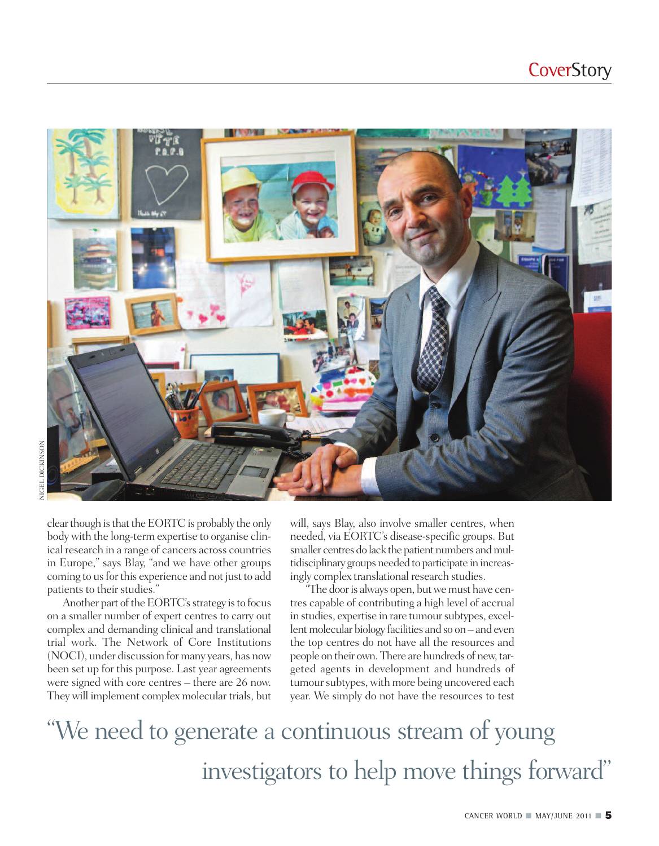

clear though is that the EORTC is probably the only body with the long-term expertise to organise clinical research in a range of cancers across countries in Europe," says Blay, "and we have other groups coming to us for this experience and not just to add patients to their studies."

Another part of the EORTC's strategy is to focus on a smaller number of expert centres to carry out complex and demanding clinical and translational trial work. The Network of Core Institutions (NOCI), under discussion formany years, has now been set up for this purpose. Last year agreements were signed with core centres – there are 26 now. They will implement complex molecular trials, but will, says Blay, also involve smaller centres, when needed, via EORTC's disease-specific groups. But smaller centres do lack the patient numbers and multidisciplinary groups needed to participate in increasingly complex translational research studies.

"The door is always open, but we must have centres capable of contributing a high level of accrual in studies, expertise in rare tumour subtypes, excellent molecular biology facilities and so on – and even the top centres do not have all the resources and people on their own. There are hundreds of new, targeted agents in development and hundreds of tumour subtypes, with more being uncovered each year. We simply do not have the resources to test

#### "We need to generate a continuous stream of young investigators to help move things forward"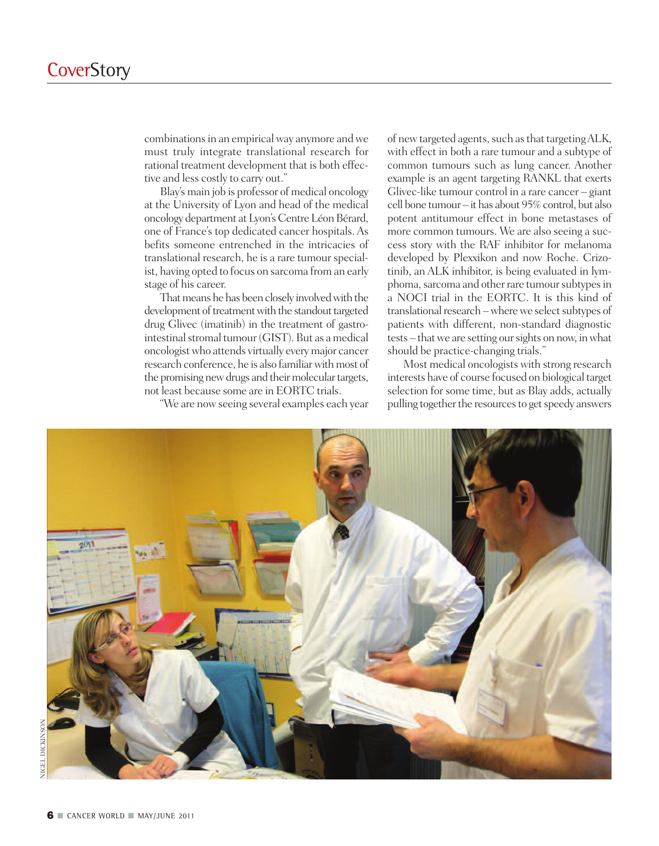combinations in an empirical way anymore and we must truly integrate translational research for rational treatment development that is both effective and less costly to carry out."

Blay's main job is professor of medical oncology at the University of Lyon and head of the medical oncology department atLyon's CentreLéonBérard, one of France's top dedicated cancer hospitals.As befits someone entrenched in the intricacies of translational research, he is a rare tumour specialist, having opted to focus on sarcoma from an early stage of his career.

That means he has been closely involved with the development of treatment with the standout targeted drug Glivec (imatinib) in the treatment of gastrointestinal stromal tumour (GIST). But as a medical oncologistwho attends virtually everymajor cancer research conference, he is also familiar with most of the promising new drugs and their molecular targets, not least because some are in EORTC trials.

"We are nowseeing several examples each year

of new targeted agents, such as that targeting ALK, with effect in both a rare tumour and a subtype of common tumours such as lung cancer. Another example is an agent targeting RANKL that exerts Glivec-like tumour control in a rare cancer – giant cell bone tumour – it has about 95%control, but also potent antitumour effect in bone metastases of more common tumours. We are also seeing a success story with the RAF inhibitor for melanoma developed by Plexxikon and now Roche. Crizotinib, an ALK inhibitor, is being evaluated in lymphoma, sarcoma and other rare tumour subtypes in a NOCI trial in the EORTC. It is this kind of translational research – where we select subtypes of patients with different, non-standard diagnostic tests – thatwe are setting oursights on now, inwhat should be practice-changing trials."

Most medical oncologists with strong research interests have of course focused on biological target selection for some time, but as Blay adds, actually pulling together the resources to get speedy answers

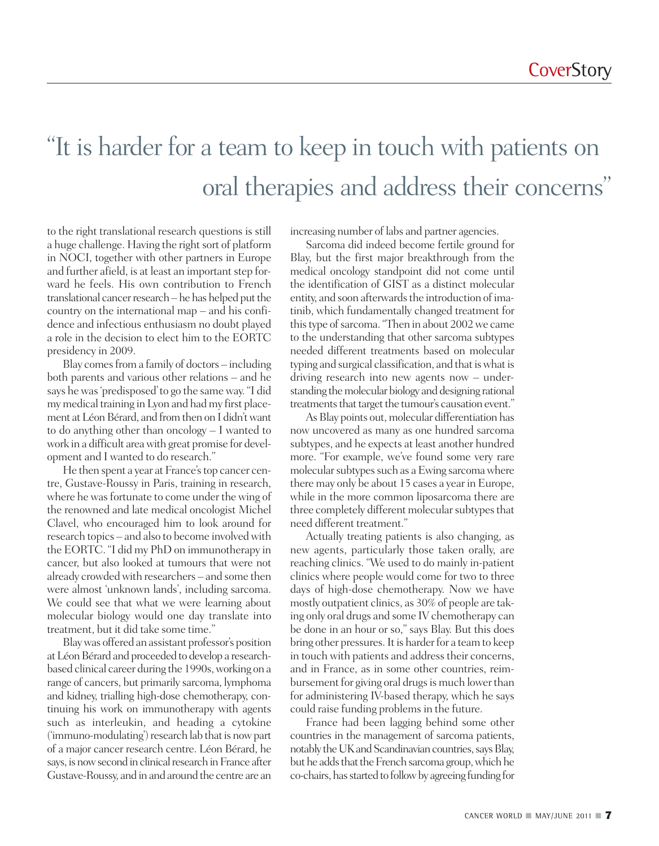### "It is harder for a team to keep in touch with patients on oral therapies and address their concerns "

to the right translational research questions is still a huge challenge. Having the right sort of platform in NOCI, together with other partners in Europe and further afield, is at least an important step forward he feels. His own contribution to French translational cancer research – he has helped put the country on the international map – and his confidence and infectious enthusiasm no doubt played a role in the decision to elect him to the EORTC presidency in 2009.

Blay comes from a family of doctors – including both parents and various other relations – and he says hewas'predisposed'to go the sameway. "I did my medical training in Lyon and had my first placement at Léon Bérard, and from then on I didn't want to do anything other than oncology – I wanted to work in a difficult areawith great promise for development and I wanted to do research."

He then spent a year at France's top cancer centre, Gustave-Roussy in Paris, training in research, where he was fortunate to come under the wing of the renowned and late medical oncologist Michel Clavel, who encouraged him to look around for research topics – and also to become involved with the EORTC. "I did my PhD on immunotherapy in cancer, but also looked at tumours that were not already crowded with researchers – and some then were almost 'unknown lands', including sarcoma. We could see that what we were learning about molecular biology would one day translate into treatment, but it did take some time."

Blaywas offered an assistant professor's position at Léon Bérard and proceeded to develop a researchbased clinical career during the 1990s, working on a range of cancers, but primarily sarcoma, lymphoma and kidney, trialling high-dose chemotherapy, continuing his work on immunotherapy with agents such as interleukin, and heading a cytokine  $('immuno-modulating')$  research lab that is now part of a major cancer research centre. Léon Bérard, he says, is now second in clinical research in France after Gustave-Roussy, and inand around the centre are an increasing number of labs and partner agencies.

Sarcoma did indeed become fertile ground for Blay, but the first major breakthrough from the medical oncology standpoint did not come until the identification of GIST as a distinct molecular entity, and soon afterwards the introduction of imatinib, which fundamentally changed treatment for this type of sarcoma. "Then in about 2002 we came to the understanding that other sarcoma subtypes needed different treatments based on molecular typing and surgical classification, and that is what is driving research into new agents now – understanding the molecular biology and designing rational treatments that target the tumour's causation event."

As Blay points out, molecular differentiation has now uncovered as many as one hundred sarcoma subtypes, and he expects at least another hundred more. "For example, we've found some very rare molecular subtypes such as a Ewing sarcoma where there may only be about 15 cases a year in Europe, while in the more common liposarcoma there are three completely different molecular subtypes that need different treatment."

Actually treating patients is also changing, as new agents, particularly those taken orally, are reaching clinics. "We used to do mainly in-patient clinics where people would come for two to three days of high-dose chemotherapy. Now we have mostly outpatient clinics, as 30% of people are taking only oral drugs and some IV chemotherapy can be done in an hour or so," says Blay. But this does bring other pressures. It is harder for a team to keep in touch with patients and address their concerns, and in France, as in some other countries, reimbursement for giving oral drugs is much lower than for administering IV-based therapy, which he says could raise funding problems in the future.

France had been lagging behind some other countries in the management of sarcoma patients, notably the UK and Scandinavian countries, says Blay, but he adds that the French sarcoma group, which he co-chairs, has started to follow by agreeing funding for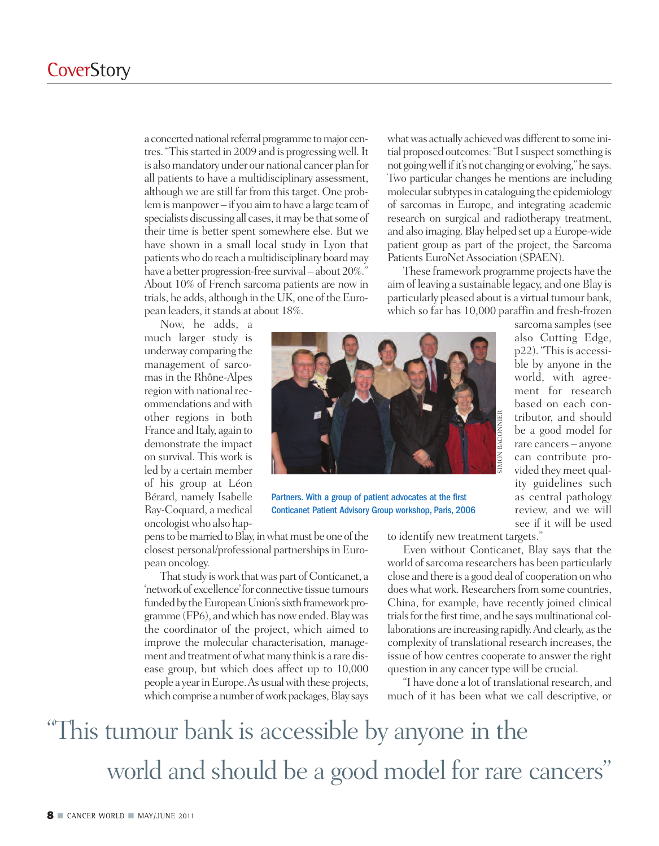a concerted national referral programme to major centres. "This started in 2009 and is progressing well. It is alsomandatory under our national cancer plan for all patients to have a multidisciplinary assessment, although we are still far from this target. One problem is manpower – if you aim to have a large team of specialists discussing all cases, it may be that some of their time is better spent somewhere else. But we have shown in a small local study in Lyon that patients who do reach a multidisciplinary board may have a better progression-free survival – about 20%." About 10% of French sarcoma patients are now in trials, he adds, although in the UK, one of the European leaders, it stands at about 18%.

Now, he adds, a much larger study is underway comparing the management of sarcomas in the Rhône-Alpes region with national recommendations andwith other regions in both France and Italy, again to demonstrate the impact on survival. This work is led by a certain member of his group at Léon Bérard, namely Isabelle Ray-Coquard, a medical oncologistwho also hap-

SIMON BACONNIER

Partners. With a group of patient advocates at the first Conticanet Patient Advisory Group workshop, Paris, 2006

pens to be married to Blay, in what must be one of the closest personal/professional partnerships in European oncology.

That study is work that was part of Conticanet, a 'network of excellence'for connective tissue tumours funded by the European Union's sixth framework programme (FP6), andwhich has nowended.Blaywas the coordinator of the project, which aimed to improve the molecular characterisation, management and treatment of what many think is a rare disease group, but which does affect up to 10,000 people a year in Europe. As usual with these projects, which comprise a number of work packages, Blay says what was actually achieved was different to some initial proposed outcomes: "But I suspect something is not going well if it's not changing or evolving," he says. Two particular changes he mentions are including molecular subtypes in cataloguing the epidemiology of sarcomas in Europe, and integrating academic research on surgical and radiotherapy treatment, and also imaging. Blay helped set up a Europe-wide patient group as part of the project, the Sarcoma Patients EuroNet Association (SPAEN).

These framework programme projects have the aim of leaving a sustainable legacy, and one Blay is particularly pleased about is a virtual tumour bank, which so far has 10,000 paraffin and fresh-frozen

sarcoma samples (see also Cutting Edge, p22). "This is accessible by anyone in the world, with agreement for research based on each contributor, and should be a good model for rare cancers – anyone can contribute provided they meet quality guidelines such as central pathology review, and we will see if it will be used

to identify new treatment targets."

Even without Conticanet, Blay says that the world of sarcoma researchers has been particularly close and there is a good deal of cooperation onwho does what work. Researchers from some countries, China, for example, have recently joined clinical trials for the first time, and he says multinational collaborations are increasing rapidly.And clearly, asthe complexity of translational research increases, the issue of how centres cooperate to answer the right question in any cancer type will be crucial.

"I have done a lot of translational research, and much of it has been what we call descriptive, or

### "This tumour bank is accessible by anyone in the world and should be a good model for rare cancers "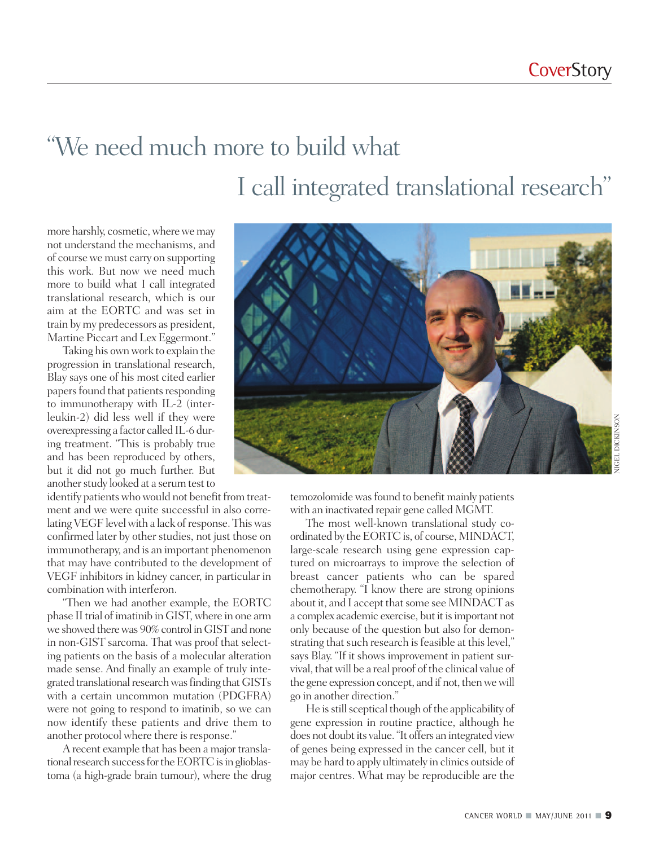## "We need much more to build what I call integrated translational research"

more harshly, cosmetic, where we may not understand the mechanisms, and of course we must carry on supporting this work. But now we need much more to build what I call integrated translational research, which is our aim at the EORTC and was set in train by my predecessors as president, Martine Piccart and Lex Eggermont."

Taking his ownwork to explain the progression in translational research, Blay says one of his most cited earlier papers found that patients responding to immunotherapy with IL-2 (interleukin-2) did less well if they were overexpressing a factor called IL-6 during treatment. "This is probably true and has been reproduced by others, but it did not go much further. But another study looked at a serum test to

identify patients who would not benefit from treatment and we were quite successful in also correlating VEGF level with a lack of response. This was confirmed later by other studies, not just those on immunotherapy, and is an important phenomenon that may have contributed to the development of VEGF inhibitors in kidney cancer, in particular in combination with interferon.

"Then we had another example, the EORTC phase II trial of imatinib in GIST, where in one arm we showed there was 90% control in GIST and none in non-GIST sarcoma. That was proof that selecting patients on the basis of a molecular alteration made sense. And finally an example of truly integrated translational research was finding that GISTs with a certain uncommon mutation (PDGFRA) were not going to respond to imatinib, so we can now identify these patients and drive them to another protocol where there is response."

A recent example that has been a major translational research success for the EORTC is in glioblastoma (a high-grade brain tumour), where the drug



temozolomide was found to benefit mainly patients with an inactivated repair gene called MGMT.

The most well-known translational study coordinated by the EORTC is, of course, MINDACT, large-scale research using gene expression captured on microarrays to improve the selection of breast cancer patients who can be spared chemotherapy. "I know there are strong opinions about it, and I accept that some see MINDACT as a complex academic exercise, but it is important not only because of the question but also for demonstrating that such research is feasible at this level," says Blay. "If it shows improvement in patient survival, thatwill be a real proof of the clinical value of the gene expression concept, and if not, then we will go in another direction."

He is still sceptical though of the applicability of gene expression in routine practice, although he does not doubt its value. "It offers an integrated view of genes being expressed in the cancer cell, but it may be hard to apply ultimately in clinics outside of major centres. What may be reproducible are the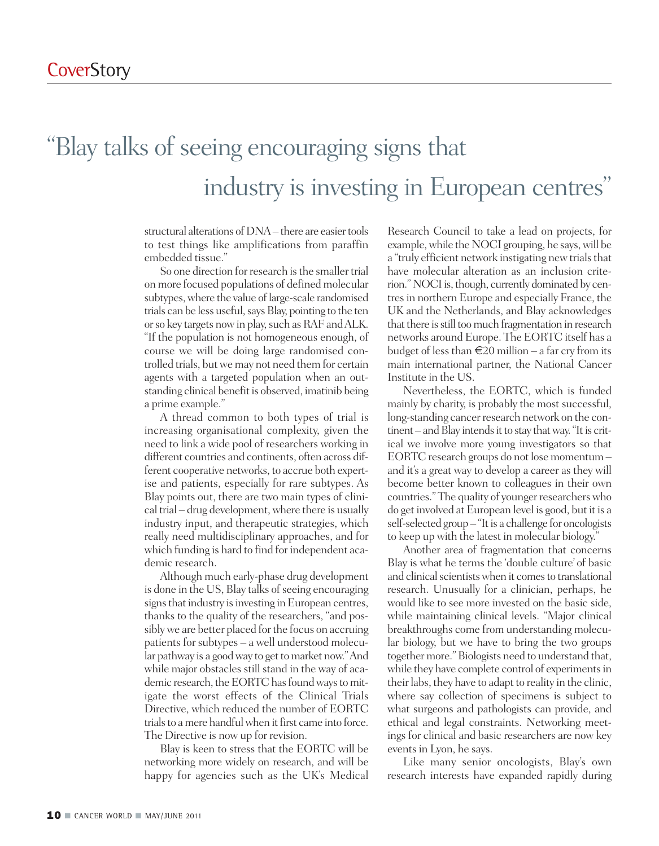#### "Blay talks of seeing encouraging signs that industry is investing in European centres"

structural alterations of DNA – there are easier tools to test things like amplifications from paraffin embedded tissue."

So one direction for research is the smaller trial on more focused populations of defined molecular subtypes, where the value of large-scale randomised trials can be less useful, says Blay, pointing to the ten or so key targets now in play, such as RAF and ALK. "If the population is not homogeneous enough, of course we will be doing large randomised controlled trials, butwe may not need them for certain agents with a targeted population when an outstanding clinical benefit is observed, imatinib being a prime example."

A thread common to both types of trial is increasing organisational complexity, given the need to link a wide pool of researchers working in different countries and continents, often across different cooperative networks, to accrue both expertise and patients, especially for rare subtypes. As Blay points out, there are two main types of clinical trial – drug development,where there is usually industry input, and therapeutic strategies, which really need multidisciplinary approaches, and for which funding is hard to find for independent academic research.

Although much early-phase drug development is done in the US, Blay talks of seeing encouraging signs that industry is investing in European centres, thanks to the quality of the researchers, "and possibly we are better placed for the focus on accruing patients for subtypes – a well understood molecular pathway is a good way to get to market now." And while major obstacles still stand in the way of academic research, the EORTC has found ways to mitigate the worst effects of the Clinical Trials Directive, which reduced the number of EORTC trials to a mere handful when it first came into force. The Directive is now up for revision.

Blay is keen to stress that the EORTC will be networking more widely on research, and will be happy for agencies such as the UK's Medical Research Council to take a lead on projects, for example, while the NOCI grouping, he says, will be a "truly efficient network instigating new trials that have molecular alteration as an inclusion criterion." NOCI is, though, currently dominated by centresin northern Europe and especially France, the UK and the Netherlands, and Blay acknowledges that there is still too much fragmentation in research networks around Europe. The EORTC itself has a budget of less than  $\in 20$  million – a far cry from its main international partner, the National Cancer Institute in the US.

Nevertheless, the EORTC, which is funded mainly by charity, is probably the most successful, long-standing cancer research network on the continent – and Blay intends it to stay that way. "It is critical we involve more young investigators so that EORTC research groups do not lose momentum – and it's a great way to develop a career as they will become better known to colleagues in their own countries." The quality of younger researchers who do get involved at European level is good, but it is a self-selected group - "It is a challenge for oncologists to keep up with the latest in molecular biology."

Another area of fragmentation that concerns Blay is what he terms the 'double culture' of basic and clinical scientists when it comes to translational research. Unusually for a clinician, perhaps, he would like to see more invested on the basic side, while maintaining clinical levels. "Major clinical breakthroughs come from understanding molecular biology, but we have to bring the two groups together more." Biologists need to understand that, while they have complete control of experiments in their labs, they have to adapt to reality in the clinic, where say collection of specimens is subject to what surgeons and pathologists can provide, and ethical and legal constraints. Networking meetings for clinical and basic researchers are now key events in Lyon, he says.

Like many senior oncologists, Blay's own research interests have expanded rapidly during